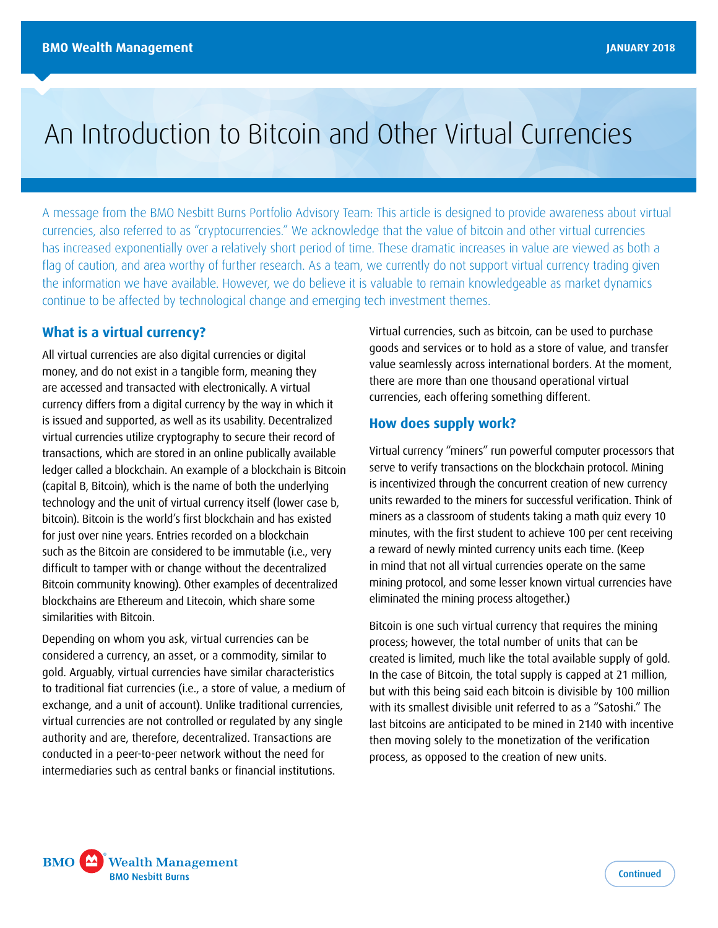# An Introduction to Bitcoin and Other Virtual Currencies

A message from the BMO Nesbitt Burns Portfolio Advisory Team: This article is designed to provide awareness about virtual currencies, also referred to as "cryptocurrencies." We acknowledge that the value of bitcoin and other virtual currencies has increased exponentially over a relatively short period of time. These dramatic increases in value are viewed as both a flag of caution, and area worthy of further research. As a team, we currently do not support virtual currency trading given the information we have available. However, we do believe it is valuable to remain knowledgeable as market dynamics continue to be affected by technological change and emerging tech investment themes.

## **What is a virtual currency?**

All virtual currencies are also digital currencies or digital money, and do not exist in a tangible form, meaning they are accessed and transacted with electronically. A virtual currency differs from a digital currency by the way in which it is issued and supported, as well as its usability. Decentralized virtual currencies utilize cryptography to secure their record of transactions, which are stored in an online publically available ledger called a blockchain. An example of a blockchain is Bitcoin (capital B, Bitcoin), which is the name of both the underlying technology and the unit of virtual currency itself (lower case b, bitcoin). Bitcoin is the world's first blockchain and has existed for just over nine years. Entries recorded on a blockchain such as the Bitcoin are considered to be immutable (i.e., very difficult to tamper with or change without the decentralized Bitcoin community knowing). Other examples of decentralized blockchains are Ethereum and Litecoin, which share some similarities with Bitcoin.

Depending on whom you ask, virtual currencies can be considered a currency, an asset, or a commodity, similar to gold. Arguably, virtual currencies have similar characteristics to traditional fiat currencies (i.e., a store of value, a medium of exchange, and a unit of account). Unlike traditional currencies, virtual currencies are not controlled or regulated by any single authority and are, therefore, decentralized. Transactions are conducted in a peer-to-peer network without the need for intermediaries such as central banks or financial institutions.

Virtual currencies, such as bitcoin, can be used to purchase goods and services or to hold as a store of value, and transfer value seamlessly across international borders. At the moment, there are more than one thousand operational virtual currencies, each offering something different.

#### **How does supply work?**

Virtual currency "miners" run powerful computer processors that serve to verify transactions on the blockchain protocol. Mining is incentivized through the concurrent creation of new currency units rewarded to the miners for successful verification. Think of miners as a classroom of students taking a math quiz every 10 minutes, with the first student to achieve 100 per cent receiving a reward of newly minted currency units each time. (Keep in mind that not all virtual currencies operate on the same mining protocol, and some lesser known virtual currencies have eliminated the mining process altogether.)

Bitcoin is one such virtual currency that requires the mining process; however, the total number of units that can be created is limited, much like the total available supply of gold. In the case of Bitcoin, the total supply is capped at 21 million, but with this being said each bitcoin is divisible by 100 million with its smallest divisible unit referred to as a "Satoshi." The last bitcoins are anticipated to be mined in 2140 with incentive then moving solely to the monetization of the verification process, as opposed to the creation of new units.